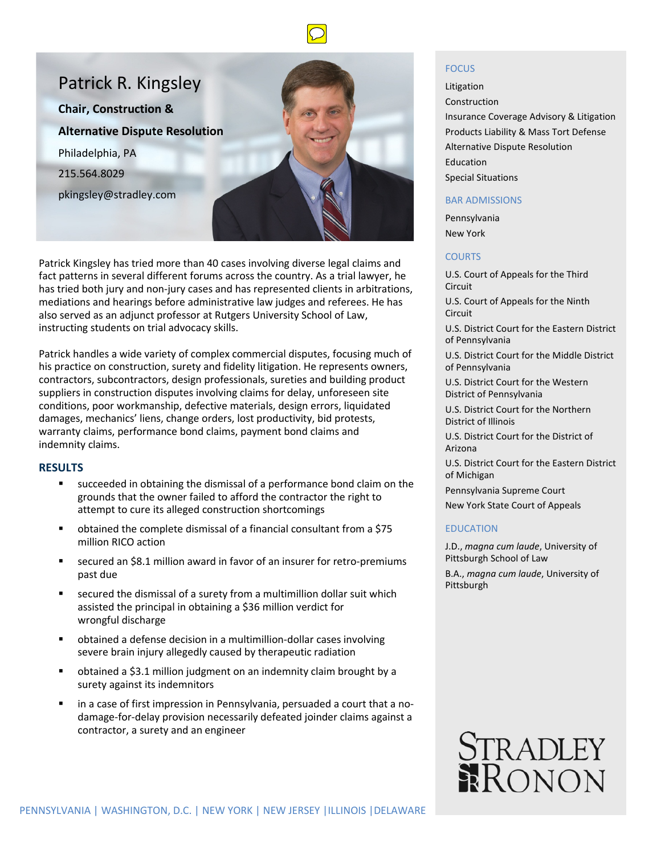



Patrick Kingsley has tried more than 40 cases involving diverse legal claims and fact patterns in several different forums across the country. As a trial lawyer, he has tried both jury and non-jury cases and has represented clients in arbitrations, mediations and hearings before administrative law judges and referees. He has also served as an adjunct professor at Rutgers University School of Law, instructing students on trial advocacy skills.

Patrick handles a wide variety of complex commercial disputes, focusing much of his practice on construction, surety and fidelity litigation. He represents owners, contractors, subcontractors, design professionals, sureties and building product suppliers in construction disputes involving claims for delay, unforeseen site conditions, poor workmanship, defective materials, design errors, liquidated damages, mechanics' liens, change orders, lost productivity, bid protests, warranty claims, performance bond claims, payment bond claims and indemnity claims.

### **RESULTS**

- succeeded in obtaining the dismissal of a performance bond claim on the grounds that the owner failed to afford the contractor the right to attempt to cure its alleged construction shortcomings
- obtained the complete dismissal of a financial consultant from a \$75 million RICO action
- secured an \$8.1 million award in favor of an insurer for retro-premiums past due
- secured the dismissal of a surety from a multimillion dollar suit which assisted the principal in obtaining a \$36 million verdict for wrongful discharge
- obtained a defense decision in a multimillion-dollar cases involving severe brain injury allegedly caused by therapeutic radiation
- obtained a \$3.1 million judgment on an indemnity claim brought by a surety against its indemnitors
- in a case of first impression in Pennsylvania, persuaded a court that a nodamage-for-delay provision necessarily defeated joinder claims against a contractor, a surety and an engineer

### FOCUS

Litigation Construction Insurance Coverage Advisory & Litigation Products Liability & Mass Tort Defense Alternative Dispute Resolution Education Special Situations

#### BAR ADMISSIONS

Pennsylvania New York

### **COURTS**

U.S. Court of Appeals for the Third Circuit U.S. Court of Appeals for the Ninth Circuit

U.S. District Court for the Eastern District of Pennsylvania

U.S. District Court for the Middle District of Pennsylvania

U.S. District Court for the Western District of Pennsylvania

U.S. District Court for the Northern District of Illinois

U.S. District Court for the District of Arizona

U.S. District Court for the Eastern District of Michigan

Pennsylvania Supreme Court

New York State Court of Appeals

## EDUCATION

J.D., *magna cum laude*, University of Pittsburgh School of Law B.A., *magna cum laude*, University of Pittsburgh

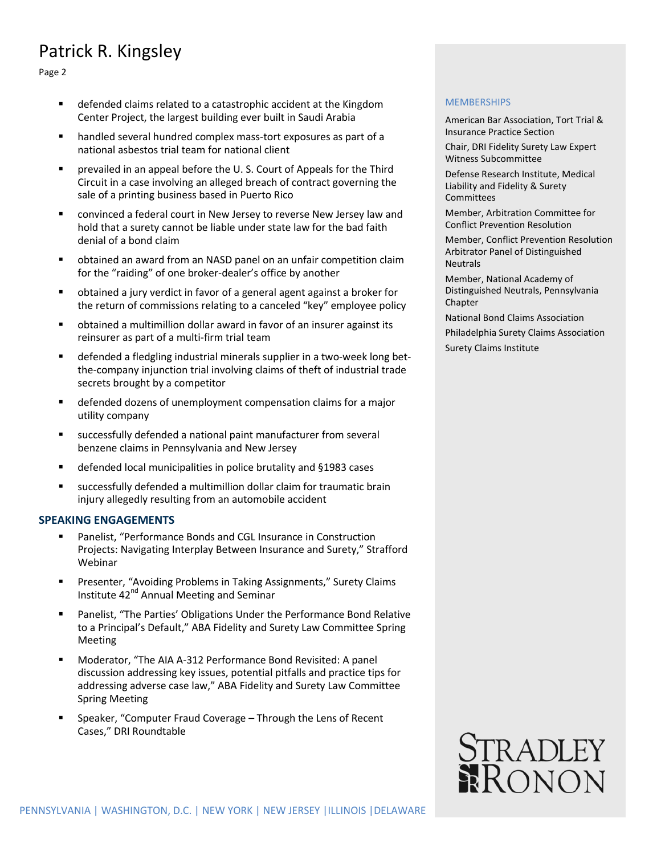# Patrick R. Kingsley

Page 2

- defended claims related to a catastrophic accident at the Kingdom Center Project, the largest building ever built in Saudi Arabia
- handled several hundred complex mass-tort exposures as part of a national asbestos trial team for national client
- prevailed in an appeal before the U. S. Court of Appeals for the Third Circuit in a case involving an alleged breach of contract governing the sale of a printing business based in Puerto Rico
- convinced a federal court in New Jersey to reverse New Jersey law and hold that a surety cannot be liable under state law for the bad faith denial of a bond claim
- obtained an award from an NASD panel on an unfair competition claim for the "raiding" of one broker-dealer's office by another
- obtained a jury verdict in favor of a general agent against a broker for the return of commissions relating to a canceled "key" employee policy
- obtained a multimillion dollar award in favor of an insurer against its reinsurer as part of a multi-firm trial team
- defended a fledgling industrial minerals supplier in a two-week long betthe-company injunction trial involving claims of theft of industrial trade secrets brought by a competitor
- defended dozens of unemployment compensation claims for a major utility company
- successfully defended a national paint manufacturer from several benzene claims in Pennsylvania and New Jersey
- defended local municipalities in police brutality and §1983 cases
- successfully defended a multimillion dollar claim for traumatic brain injury allegedly resulting from an automobile accident

## **SPEAKING ENGAGEMENTS**

- Panelist, "Performance Bonds and CGL Insurance in Construction Projects: Navigating Interplay Between Insurance and Surety," Strafford Webinar
- Presenter, "Avoiding Problems in Taking Assignments," Surety Claims Institute 42<sup>nd</sup> Annual Meeting and Seminar
- Panelist, "The Parties' Obligations Under the Performance Bond Relative to a Principal's Default," ABA Fidelity and Surety Law Committee Spring Meeting
- Moderator, "The AIA A-312 Performance Bond Revisited: A panel discussion addressing key issues, potential pitfalls and practice tips for addressing adverse case law," ABA Fidelity and Surety Law Committee Spring Meeting
- Speaker, "Computer Fraud Coverage Through the Lens of Recent Cases," DRI Roundtable

## **MEMBERSHIPS**

American Bar Association, Tort Trial & Insurance Practice Section

Chair, DRI Fidelity Surety Law Expert Witness Subcommittee

Defense Research Institute, Medical Liability and Fidelity & Surety Committees

Member, Arbitration Committee for Conflict Prevention Resolution

Member, Conflict Prevention Resolution Arbitrator Panel of Distinguished Neutrals

Member, National Academy of Distinguished Neutrals, Pennsylvania Chapter

National Bond Claims Association

Philadelphia Surety Claims Association

Surety Claims Institute